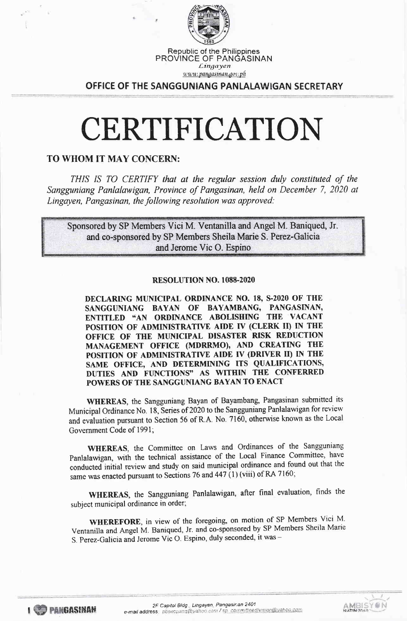

Republic of the Phitippines PROVINCE OF PANGASINAN

Lingayen <u>u u u pangasinan gov ph</u>

OFFICE OF THE SANGGUNIANG PANLALAWIGAN SECRETARY

# CERTIFICATION

## TO WHOM IT MAY CONCERN:

THIS IS TO CERTIFY that at the regular session duly constituted of the Sangguniang Panlalawigan, Province of Pangasinan, held on December 7, 2020 at Lingayen, Pangasinan, the following resolution was dpproved:

Sponsored by SP Members Vici M. Ventanilla and Angel M. Baniqued, Jr. and co-sponsored by SP Members Sheila Marie S. Perez-Galicia and Jerome Vic O. Espino

#### RESOLUTION NO. IO88.2O2O

DECLARING MUNICIPAL ORDINANCE NO. 18, S-2020 OF THE SANGGUNIANG BAYAN OF BAYAMBANG, PANGASTNAN' ENTITLED "AN ORDINANCE ABOLISHING THE VACANT POSITION OF ADMINISTRATIVE AIDE IV (CLERK II) IN THE OFFICE OF THE MUNICIPAL DISASTER RISK REDUCTION MANAGEMENT OFFICE (MDRRMO), AND CREATING THE POSITION OF ADMINISTRATIVE AIDE IV (DRIVER II) IN THE SAME OFFICE, AND DETERMINING ITS QUALIFICATIONS, DUTIES AND FUNCTIONS" AS WITHIN THE CONFERRED POWERS OF THE SANGGUNIANG BAYAN TO ENACT

WHEREAS, the Sangguniang Bayan of Bayambang, Pangasinan submitted its Municipal Ordinance No. 18, Series of 2020 to the Sangguniang Panlalawigan for review and evaluation pursuant to Section 56 of R.A. No. 7160, otherwise known as the Local Government Code of l99l;

WHEREAS, the Committee on Laws and Ordinances of the Sangguniang Panlalawigan, with the technical assistance of the Local Finance Committee, have conducted initial review and study on said municipat ordinance and found out that the same was enacted pursuant to Sections 76 and 447 (1) (viii) of RA 7160;

WHEREAS, the Sangguniang Panlalawigan, after final evaluation, finds the subject municipal ordinance in order;

WHEREFORE, in view of the foregoing, on motion of SP Members Vici M. Ventanilla and Angel M. Baniqued, Jr. and co-sponsored by SP Members Sheila Marie S. Perez-Galicia and Jerome Vic O. Espino, duly seconded, it was -

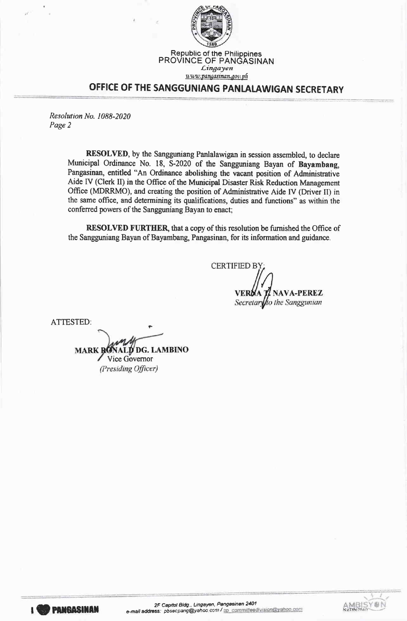

## $uvw$ , pangasinan. gov. ph OFFICE OF THE SANGGUNIANG PANLALAWIGAN SECRETARY

Lingayen

Resolution No. 1088-2020 Page 2

> RESOLVED, by the Sangguniang Panlalawigan in session assembled, to declare Municipal Ordinance No. 18, 5-2020 of the Sangguniang Bayan of Bayambang, Pangasinan, entitled "An Ordinance abolishing the vacant position of Administrative Aide IV (Clerk II) in the Office of the Municipal Disaster Risk Reduction Management Office (MDRRMO), and creating the position of Administrative Aide IV (Driver II) in the same office, and determining its qualifications, duties and functions" as within the conferred powers of the Sangguniang Bayan to enact,

> RESOLVED FURTHER, that a copy of this resolution be furnished the Office of the Sangguniang Bayan of Bayambang, Pangasinan, for its information and guidance.

**CERTIFIED BY NAVA-PEREZ** Secretar fto the Sanggunian

ATTESTED:

**LD DG. LAMBINO MARKI** Vice Governor (Presiding Officer)

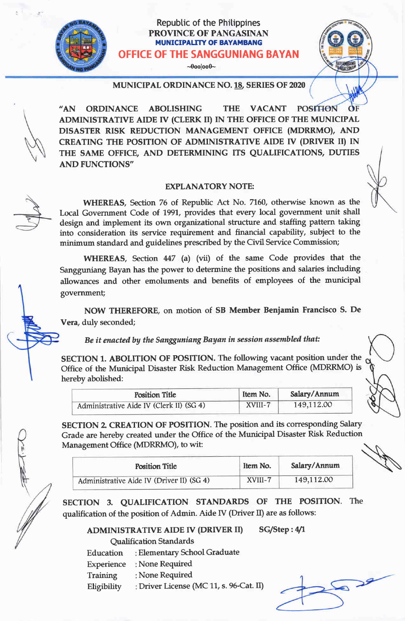## Repubtic of the Phitippines PROVINCE OF PANGASINAN MUNICIPAUTY OF BAYAMBANG OFFICE OF THE SANGGUNIANG BAYAN

 $\n-0$ 00 $|000-\rangle$ 



MUNICIPAL ORDINANCE NO. 18, SERIES OF 2020

"AN ORDINANCE ABOLISHING THE VACANT **POSITION** ADMINISTRATTVE AIDE IV (CLERK II) IN THE OFFICE OF THE MUNICIPAL DISASTER RISK REDUCTION MANAGEMENT OFFICE (MDRRMO), AND CREATING THE POSITION OF ADMINISTRATIVE AIDE IV (DRIVER II) IN THE SAME OFFICE, AND DETERMINING ITS QUALIFICATIONS, DUTIES AND FUNCTIONS'

#### EXPLANATORY NOTE:

WHEREAS, Section 76 of Republic Act No. 7760, otherwise known as the Local Government Code of 1991, provides that every local government unit shall design and implement its own organizational structure and staffing pattern taking into consideration its service requirement and financial capability, subject to the minimum standard and guidelines prescribed by the Civil Service Commission;

WHEREAS, Section 447 (a) (vii) of the same Code provides that the Sangguniang Bayan has the power to determine the positions and salaries including allowances and other emoluments and benefits of employees of the municipal government;

NOW THEREFORE, on motion of SB Member Benjamin Francisco S. De Vera, duly seconded;

Be it enacted by the Sangguniang Bayan in session assembled that:

SECTION 1. ABOLITION OF POSITION. The following vacant position under the Office of the Municipal Disaster Risk Reduction Management Office (MDRRMO) is hereby abolished:

| <b>Position Title</b>                    | Item No. | Salary/Annum |
|------------------------------------------|----------|--------------|
| Administrative Aide IV (Clerk II) (SG 4) | XVIII-7  | 149,112.00   |

SECTION 2. CREATION OF POSITION. The position and its corresponding Salary Grade are hereby created under the Office of the Municipal Disaster Risk Reduction Management Office (MDRRMO), to wit:

| <b>Position Title</b>                     | Item No. | Salary/Annum |
|-------------------------------------------|----------|--------------|
| Administrative Aide IV (Driver II) (SG 4) | XVIII-7  | 149,112.00   |

SECTION 3. QUALIFICATION STANDARDS OF THE POSITION. The qualification of the position of Admin. Aide IV (Driver  $II$ ) are as follows:

ADMINISTRATIVE AIDE IV (DRIVER II) SG/Step: 4/1 Qualification Standards

- Education Elementary School Graduate
- Experience None Required
- **Training** None Required
- Eligibility : Driver License (MC 11, s. 96-Cat. II)

 $\rightarrow$ 

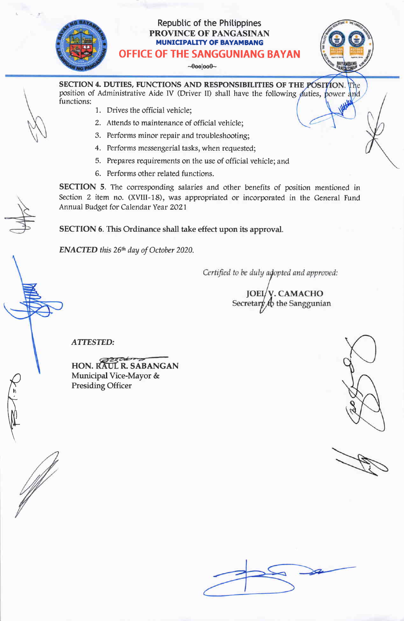## Repubtic of the Phitippines PROVINCE OF PANGASINAN MUNICIPALITY OF BAYAMBANG OFFICE OF THE SANGGUNIANG BAYAN

 $\neg 0$ oo $|$ oo $0\neg$ 

SECTION 4. DUTIES, FUNCTIONS AND RESPONSIBILITIES OF THE position of Administrative Aide IV (Driver II) shall have the following duties, functions:

- 1. Drives the official vehicle;
- 2. Attends to maintenance of official vehicle;
- 3. Performs minor repair and troubleshooting
- 4. Performs messengerial tasks, when requested;
- 5. Prepares requirements on the use of official vehicle; and
- 6. Performs other related functions.

SECTION 5. The corresponding salaries and other benefits of position mentioned in Section 2 item no. (XVIII-18), was appropriated or incorporated in the General Fund Annual Budget for Calendar Year 2021

SECTION 6. This Ordinance shall take effect upon its approval.

**ENACTED** this  $26<sup>th</sup>$  day of October 2020.

Certified to be duly adopted and approved:

**JOEL/V. CAMACHO** Secretary  $f_0$  the Sanggunian

ATTESTED:

HON. RAUL R. SABANGAN Municipal Vice-Mayor & Presiding Officer



 $\sum_{n}$ 

E